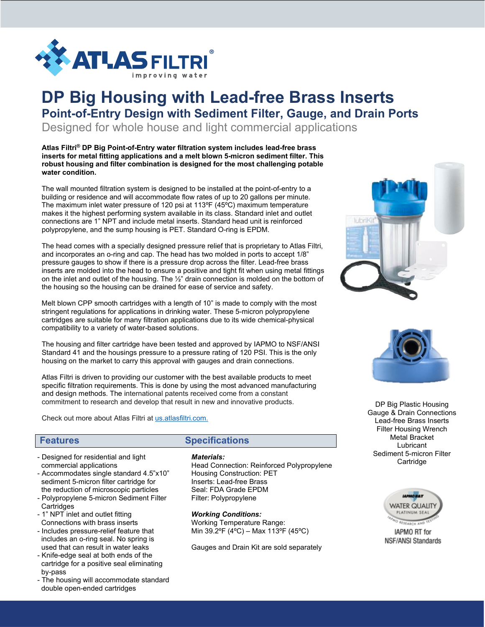

# **DP Big Housing with Lead-free Brass Inserts Point-of-Entry Design with Sediment Filter, Gauge, and Drain Ports**

Designed for whole house and light commercial applications

#### **Atlas Filtri® DP Big Point-of-Entry water filtration system includes lead-free brass inserts for metal fitting applications and a melt blown 5-micron sediment filter. This robust housing and filter combination is designed for the most challenging potable water condition.**

The wall mounted filtration system is designed to be installed at the point-of-entry to a building or residence and will accommodate flow rates of up to 20 gallons per minute. The maximum inlet water pressure of 120 psi at 113ºF (45ºC) maximum temperature makes it the highest performing system available in its class. Standard inlet and outlet connections are 1" NPT and include metal inserts. Standard head unit is reinforced polypropylene, and the sump housing is PET. Standard O-ring is EPDM.

The head comes with a specially designed pressure relief that is proprietary to Atlas Filtri, and incorporates an o-ring and cap. The head has two molded in ports to accept 1/8" pressure gauges to show if there is a pressure drop across the filter. Lead-free brass inserts are molded into the head to ensure a positive and tight fit when using metal fittings on the inlet and outlet of the housing. The ½" drain connection is molded on the bottom of the housing so the housing can be drained for ease of service and safety.

Melt blown CPP smooth cartridges with a length of 10" is made to comply with the most stringent regulations for applications in drinking water. These 5-micron polypropylene cartridges are suitable for many filtration applications due to its wide chemical-physical compatibility to a variety of water-based solutions.

The housing and filter cartridge have been tested and approved by IAPMO to NSF/ANSI Standard 41 and the housings pressure to a pressure rating of 120 PSI. This is the only housing on the market to carry this approval with gauges and drain connections.

Atlas Filtri is driven to providing our customer with the best available products to meet specific filtration requirements. This is done by using the most advanced manufacturing and design methods. The international patents received come from a constant commitment to research and develop that result in new and innovative products.

Check out more about Atlas Filtri at [us.atlasfiltri.com.](http://www.atlasfiltri.com/)

- Designed for residential and light commercial applications
- Accommodates single standard 4.5"x10" sediment 5-micron filter cartridge for the reduction of microscopic particles
- Polypropylene 5-micron Sediment Filter **Cartridges**
- 1" NPT inlet and outlet fitting Connections with brass inserts
- Includes pressure-relief feature that includes an o-ring seal. No spring is used that can result in water leaks
- Knife-edge seal at both ends of the cartridge for a positive seal eliminating by-pass
- The housing will accommodate standard double open-ended cartridges

# **Features Specifications**

#### *Materials:*

Head Connection: Reinforced Polypropylene Housing Construction: PET Inserts: Lead-free Brass Seal: FDA Grade EPDM Filter: Polypropylene

*Working Conditions:* Working Temperature Range: Min 39.2ºF (4ºC) – Max 113ºF (45ºC)

Gauges and Drain Kit are sold separately





DP Big Plastic Housing Gauge & Drain Connections Lead-free Brass Inserts Filter Housing Wrench Metal Bracket Lubricant Sediment 5-micron Filter **Cartridge**